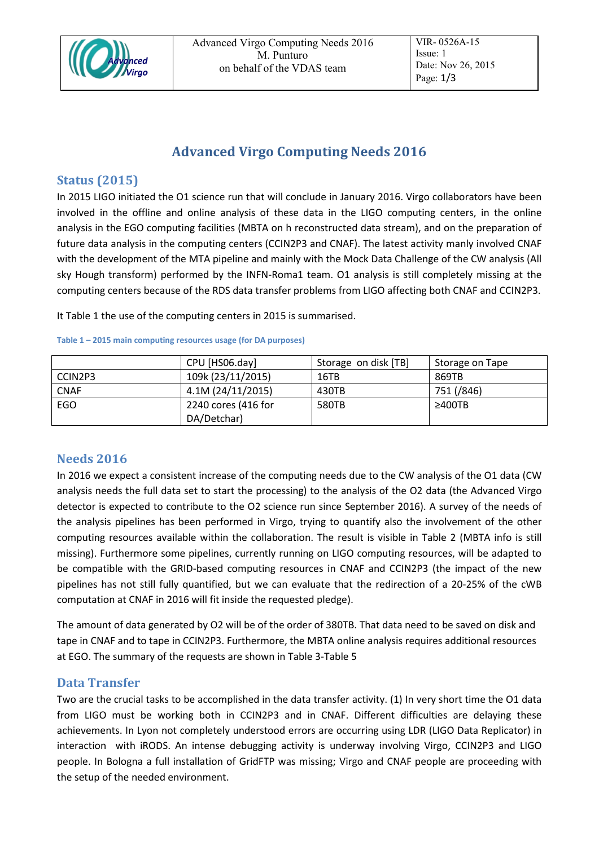

# **Advanced Virgo Computing Needs 2016**

### **Status (2015)**

In 2015 LIGO initiated the O1 science run that will conclude in January 2016. Virgo collaborators have been involved in the offline and online analysis of these data in the LIGO computing centers, in the online analysis in the EGO computing facilities (MBTA on h reconstructed data stream), and on the preparation of future data analysis in the computing centers (CCIN2P3 and CNAF). The latest activity manly involved CNAF with the development of the MTA pipeline and mainly with the Mock Data Challenge of the CW analysis (All sky Hough transform) performed by the INFN-Roma1 team. O1 analysis is still completely missing at the computing centers because of the RDS data transfer problems from LIGO affecting both CNAF and CCIN2P3.

I[t Table 1](#page-0-0) the use of the computing centers in 2015 is summarised.

|             | CPU [HS06.day]      | Storage on disk [TB] | Storage on Tape |
|-------------|---------------------|----------------------|-----------------|
| CCIN2P3     | 109k (23/11/2015)   | 16TB                 | 869TB           |
| <b>CNAF</b> | 4.1M (24/11/2015)   | 430TB                | 751 (/846)      |
| EGO         | 2240 cores (416 for | 580TB                | $\geq 400$ TB   |
|             | DA/Detchar)         |                      |                 |

#### <span id="page-0-0"></span>**Table 1 – 2015 main computing resources usage (for DA purposes)**

## **Needs 2016**

In 2016 we expect a consistent increase of the computing needs due to the CW analysis of the O1 data (CW analysis needs the full data set to start the processing) to the analysis of the O2 data (the Advanced Virgo detector is expected to contribute to the O2 science run since September 2016). A survey of the needs of the analysis pipelines has been performed in Virgo, trying to quantify also the involvement of the other computing resources available within the collaboration. The result is visible in [Table 2](#page-2-0) (MBTA info is still missing). Furthermore some pipelines, currently running on LIGO computing resources, will be adapted to be compatible with the GRID-based computing resources in CNAF and CCIN2P3 (the impact of the new pipelines has not still fully quantified, but we can evaluate that the redirection of a 20-25% of the cWB computation at CNAF in 2016 will fit inside the requested pledge).

The amount of data generated by O2 will be of the order of 380TB. That data need to be saved on disk and tape in CNAF and to tape in CCIN2P3. Furthermore, the MBTA online analysis requires additional resources at EGO. The summary of the requests are shown in [Table 3](#page-2-1)[-Table 5](#page-2-2)

### **Data Transfer**

Two are the crucial tasks to be accomplished in the data transfer activity. (1) In very short time the O1 data from LIGO must be working both in CCIN2P3 and in CNAF. Different difficulties are delaying these achievements. In Lyon not completely understood errors are occurring using LDR (LIGO Data Replicator) in interaction with iRODS. An intense debugging activity is underway involving Virgo, CCIN2P3 and LIGO people. In Bologna a full installation of GridFTP was missing; Virgo and CNAF people are proceeding with the setup of the needed environment.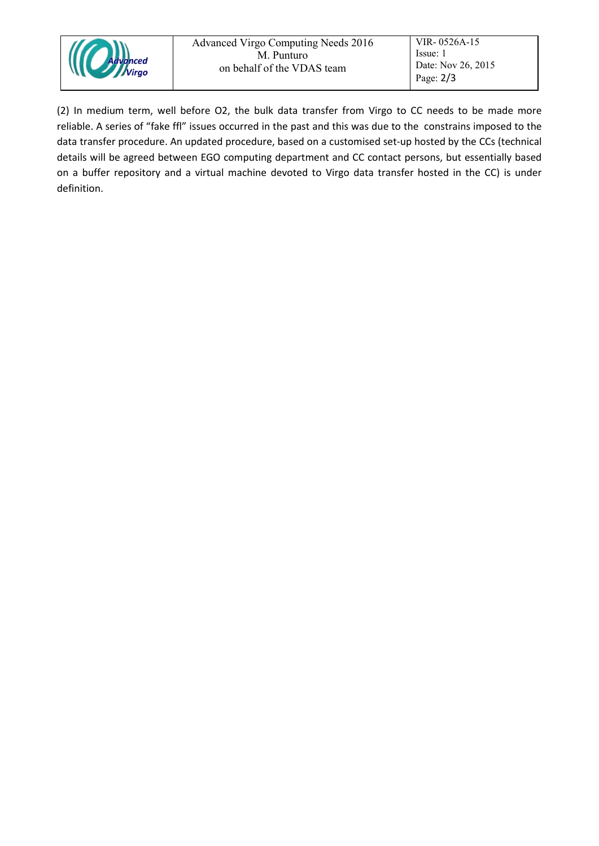

(2) In medium term, well before O2, the bulk data transfer from Virgo to CC needs to be made more reliable. A series of "fake ffl" issues occurred in the past and this was due to the constrains imposed to the data transfer procedure. An updated procedure, based on a customised set-up hosted by the CCs (technical details will be agreed between EGO computing department and CC contact persons, but essentially based on a buffer repository and a virtual machine devoted to Virgo data transfer hosted in the CC) is under definition.